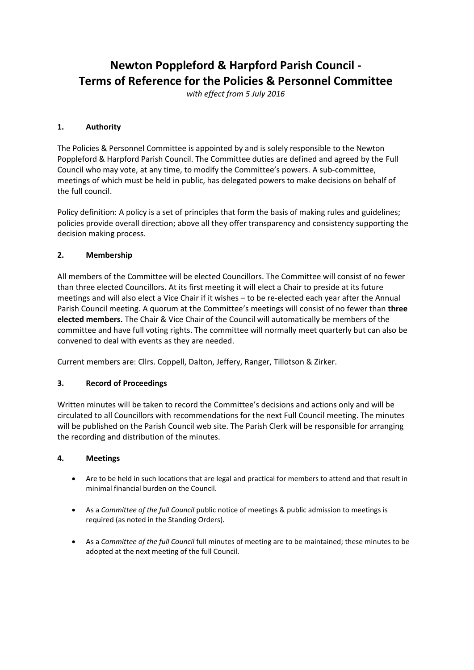# **Newton Poppleford & Harpford Parish Council - Terms of Reference for the Policies & Personnel Committee**

*with effect from 5 July 2016*

## **1. Authority**

The Policies & Personnel Committee is appointed by and is solely responsible to the Newton Poppleford & Harpford Parish Council. The Committee duties are defined and agreed by the Full Council who may vote, at any time, to modify the Committee's powers. A sub-committee, meetings of which must be held in public, has delegated powers to make decisions on behalf of the full council.

Policy definition: A policy is a set of principles that form the basis of making rules and guidelines; policies provide overall direction; above all they offer transparency and consistency supporting the decision making process.

### **2. Membership**

All members of the Committee will be elected Councillors. The Committee will consist of no fewer than three elected Councillors. At its first meeting it will elect a Chair to preside at its future meetings and will also elect a Vice Chair if it wishes – to be re-elected each year after the Annual Parish Council meeting. A quorum at the Committee's meetings will consist of no fewer than **three elected members.** The Chair & Vice Chair of the Council will automatically be members of the committee and have full voting rights. The committee will normally meet quarterly but can also be convened to deal with events as they are needed.

Current members are: Cllrs. Coppell, Dalton, Jeffery, Ranger, Tillotson & Zirker.

# **3. Record of Proceedings**

Written minutes will be taken to record the Committee's decisions and actions only and will be circulated to all Councillors with recommendations for the next Full Council meeting. The minutes will be published on the Parish Council web site. The Parish Clerk will be responsible for arranging the recording and distribution of the minutes.

### **4. Meetings**

- Are to be held in such locations that are legal and practical for members to attend and that result in minimal financial burden on the Council.
- As a *Committee of the full Council* public notice of meetings & public admission to meetings is required (as noted in the Standing Orders).
- As a *Committee of the full Council* full minutes of meeting are to be maintained; these minutes to be adopted at the next meeting of the full Council.